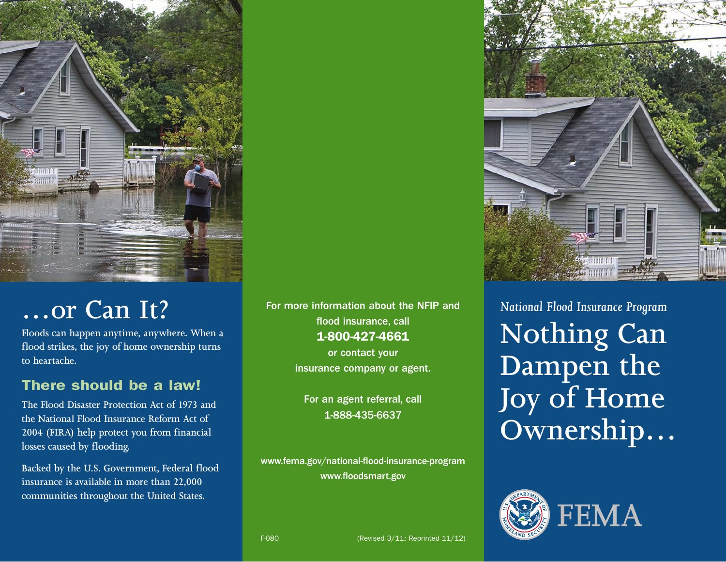

# **…or Can It?**

**Floods can happen anytime, anywhere. When a flood strikes, the joy of home ownership turns to heartache.**

### There should be a law!

**The Flood Disaster Protection Act of 1973 and the National Flood Insurance Reform Act of 2004 (FIRA) help protect you from financial losses caused by flooding.**

**Backed by the U.S. Government, Federal flood insurance is available in more than 22,000 communities throughout the United States.**

For more information about the NFIP and flood insurance, call 1-800-427-4661

> or contact your insurance company or agent.

For an agent referral, call 1-888-435-6637

www.fema.gov/national-flood-insurance-program www.floodsmart.gov



*National Flood Insurance Program* **Nothing Can Dampen the Joy of Home Ownership…**